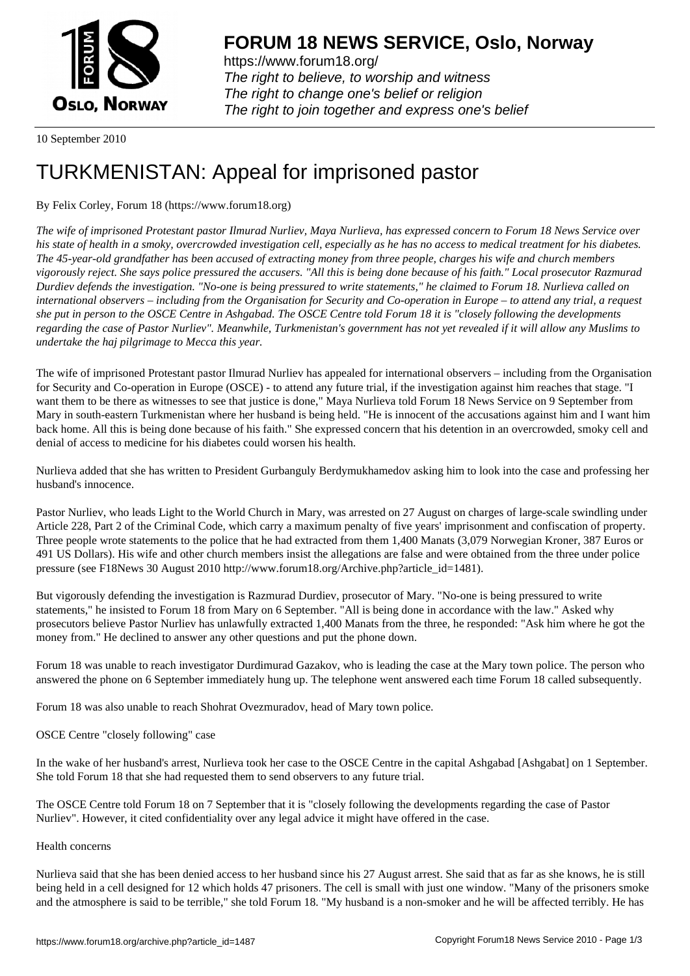

https://www.forum18.org/ The right to believe, to worship and witness The right to change one's belief or religion [The right to join together a](https://www.forum18.org/)nd express one's belief

10 September 2010

# [TURKMENISTA](https://www.forum18.org)N: Appeal for imprisoned pastor

## By Felix Corley, Forum 18 (https://www.forum18.org)

*The wife of imprisoned Protestant pastor Ilmurad Nurliev, Maya Nurlieva, has expressed concern to Forum 18 News Service over his state of health in a smoky, overcrowded investigation cell, especially as he has no access to medical treatment for his diabetes. The 45-year-old grandfather has been accused of extracting money from three people, charges his wife and church members vigorously reject. She says police pressured the accusers. "All this is being done because of his faith." Local prosecutor Razmurad Durdiev defends the investigation. "No-one is being pressured to write statements," he claimed to Forum 18. Nurlieva called on international observers – including from the Organisation for Security and Co-operation in Europe – to attend any trial, a request she put in person to the OSCE Centre in Ashgabad. The OSCE Centre told Forum 18 it is "closely following the developments regarding the case of Pastor Nurliev". Meanwhile, Turkmenistan's government has not yet revealed if it will allow any Muslims to undertake the haj pilgrimage to Mecca this year.*

The wife of imprisoned Protestant pastor Ilmurad Nurliev has appealed for international observers – including from the Organisation for Security and Co-operation in Europe (OSCE) - to attend any future trial, if the investigation against him reaches that stage. "I want them to be there as witnesses to see that justice is done," Maya Nurlieva told Forum 18 News Service on 9 September from Mary in south-eastern Turkmenistan where her husband is being held. "He is innocent of the accusations against him and I want him back home. All this is being done because of his faith." She expressed concern that his detention in an overcrowded, smoky cell and denial of access to medicine for his diabetes could worsen his health.

Nurlieva added that she has written to President Gurbanguly Berdymukhamedov asking him to look into the case and professing her husband's innocence.

Pastor Nurliev, who leads Light to the World Church in Mary, was arrested on 27 August on charges of large-scale swindling under Article 228, Part 2 of the Criminal Code, which carry a maximum penalty of five years' imprisonment and confiscation of property. Three people wrote statements to the police that he had extracted from them 1,400 Manats (3,079 Norwegian Kroner, 387 Euros or 491 US Dollars). His wife and other church members insist the allegations are false and were obtained from the three under police pressure (see F18News 30 August 2010 http://www.forum18.org/Archive.php?article\_id=1481).

But vigorously defending the investigation is Razmurad Durdiev, prosecutor of Mary. "No-one is being pressured to write statements," he insisted to Forum 18 from Mary on 6 September. "All is being done in accordance with the law." Asked why prosecutors believe Pastor Nurliev has unlawfully extracted 1,400 Manats from the three, he responded: "Ask him where he got the money from." He declined to answer any other questions and put the phone down.

Forum 18 was unable to reach investigator Durdimurad Gazakov, who is leading the case at the Mary town police. The person who answered the phone on 6 September immediately hung up. The telephone went answered each time Forum 18 called subsequently.

Forum 18 was also unable to reach Shohrat Ovezmuradov, head of Mary town police.

OSCE Centre "closely following" case

In the wake of her husband's arrest, Nurlieva took her case to the OSCE Centre in the capital Ashgabad [Ashgabat] on 1 September. She told Forum 18 that she had requested them to send observers to any future trial.

The OSCE Centre told Forum 18 on 7 September that it is "closely following the developments regarding the case of Pastor Nurliev". However, it cited confidentiality over any legal advice it might have offered in the case.

### Health concerns

Nurlieva said that she has been denied access to her husband since his 27 August arrest. She said that as far as she knows, he is still being held in a cell designed for 12 which holds 47 prisoners. The cell is small with just one window. "Many of the prisoners smoke and the atmosphere is said to be terrible," she told Forum 18. "My husband is a non-smoker and he will be affected terribly. He has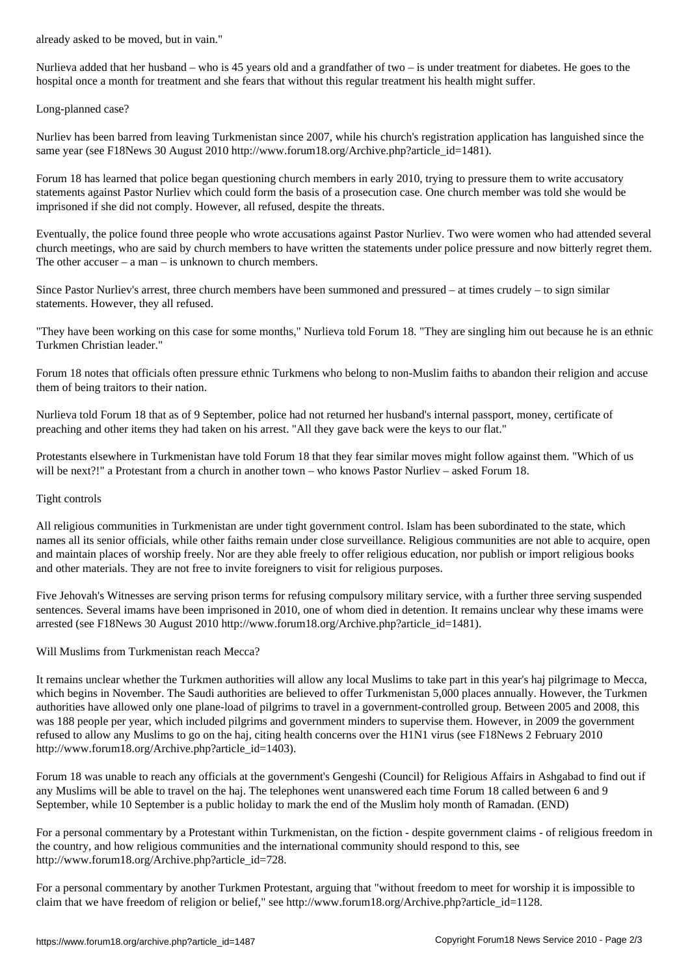Nurlieva added that her husband – who is 45 years old and a grandfather of two – is under treatment for diabetes. He goes to the hospital once a month for treatment and she fears that without this regular treatment his health might suffer.

Long-planned case?

Nurliev has been barred from leaving Turkmenistan since 2007, while his church's registration application has languished since the same year (see F18News 30 August 2010 http://www.forum18.org/Archive.php?article\_id=1481).

Forum 18 has learned that police began questioning church members in early 2010, trying to pressure them to write accusatory statements against Pastor Nurliev which could form the basis of a prosecution case. One church member was told she would be imprisoned if she did not comply. However, all refused, despite the threats.

Eventually, the police found three people who wrote accusations against Pastor Nurliev. Two were women who had attended several church meetings, who are said by church members to have written the statements under police pressure and now bitterly regret them. The other accuser –  $a$  man – is unknown to church members.

Since Pastor Nurliev's arrest, three church members have been summoned and pressured – at times crudely – to sign similar statements. However, they all refused.

"They have been working on this case for some months," Nurlieva told Forum 18. "They are singling him out because he is an ethnic Turkmen Christian leader."

Forum 18 notes that officials often pressure ethnic Turkmens who belong to non-Muslim faiths to abandon their religion and accuse them of being traitors to their nation.

Nurlieva told Forum 18 that as of 9 September, police had not returned her husband's internal passport, money, certificate of preaching and other items they had taken on his arrest. "All they gave back were the keys to our flat."

Protestants elsewhere in Turkmenistan have told Forum 18 that they fear similar moves might follow against them. "Which of us will be next?!" a Protestant from a church in another town – who knows Pastor Nurliev – asked Forum 18.

#### Tight controls

All religious communities in Turkmenistan are under tight government control. Islam has been subordinated to the state, which names all its senior officials, while other faiths remain under close surveillance. Religious communities are not able to acquire, open and maintain places of worship freely. Nor are they able freely to offer religious education, nor publish or import religious books and other materials. They are not free to invite foreigners to visit for religious purposes.

Five Jehovah's Witnesses are serving prison terms for refusing compulsory military service, with a further three serving suspended sentences. Several imams have been imprisoned in 2010, one of whom died in detention. It remains unclear why these imams were arrested (see F18News 30 August 2010 http://www.forum18.org/Archive.php?article\_id=1481).

### Will Muslims from Turkmenistan reach Mecca?

It remains unclear whether the Turkmen authorities will allow any local Muslims to take part in this year's haj pilgrimage to Mecca, which begins in November. The Saudi authorities are believed to offer Turkmenistan 5,000 places annually. However, the Turkmen authorities have allowed only one plane-load of pilgrims to travel in a government-controlled group. Between 2005 and 2008, this was 188 people per year, which included pilgrims and government minders to supervise them. However, in 2009 the government refused to allow any Muslims to go on the haj, citing health concerns over the H1N1 virus (see F18News 2 February 2010 http://www.forum18.org/Archive.php?article\_id=1403).

Forum 18 was unable to reach any officials at the government's Gengeshi (Council) for Religious Affairs in Ashgabad to find out if any Muslims will be able to travel on the haj. The telephones went unanswered each time Forum 18 called between 6 and 9 September, while 10 September is a public holiday to mark the end of the Muslim holy month of Ramadan. (END)

For a personal commentary by a Protestant within Turkmenistan, on the fiction - despite government claims - of religious freedom in the country, and how religious communities and the international community should respond to this, see http://www.forum18.org/Archive.php?article\_id=728.

For a personal commentary by another Turkmen Protestant, arguing that "without freedom to meet for worship it is impossible to claim that we have freedom of religion or belief," see http://www.forum18.org/Archive.php?article\_id=1128.